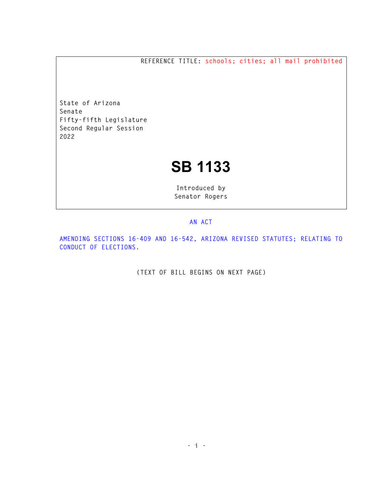**REFERENCE TITLE: schools; cities; all mail prohibited** 

**State of Arizona Senate Fifty-fifth Legislature Second Regular Session 2022** 

## **SB 1133**

**Introduced by Senator Rogers** 

## **AN ACT**

**AMENDING SECTIONS 16-409 AND 16-542, ARIZONA REVISED STATUTES; RELATING TO CONDUCT OF ELECTIONS.** 

**(TEXT OF BILL BEGINS ON NEXT PAGE)**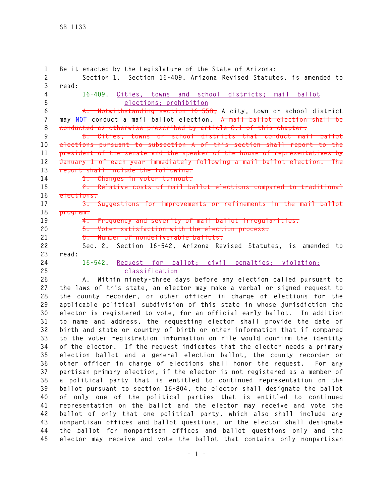**1 Be it enacted by the Legislature of the State of Arizona: 2 Section 1. Section 16-409, Arizona Revised Statutes, is amended to 3 read: 4 16-409. Cities, towns and school districts; mail ballot 5 elections; prohibition 6 A. Notwithstanding section 16-558, A city, town or school district 7 may NOT conduct a mail ballot election. A mail ballot election shall be 8 conducted as otherwise prescribed by article 8.1 of this chapter. 9 B. Cities, towns or school districts that conduct mail ballot 10 elections pursuant to subsection A of this section shall report to the 11 president of the senate and the speaker of the house of representatives by 12 January 1 of each year immediately following a mail ballot election. The 13 report shall include the following: 14 1. Changes in voter turnout. 15 2. Relative costs of mail ballot elections compared to traditional 16 elections. 17 3. Suggestions for improvements or refinements in the mail ballot 18 program. 19 4. Frequency and severity of mail ballot irregularities. 20 5. Voter satisfaction with the election process. 21 6. Number of nondeliverable ballots. 22 Sec. 2. Section 16-542, Arizona Revised Statutes, is amended to 23 read: 24 16-542. Request for ballot; civil penalties; violation; 25 classification 26 A. Within ninety-three days before any election called pursuant to 27 the laws of this state, an elector may make a verbal or signed request to 28 the county recorder, or other officer in charge of elections for the 29 applicable political subdivision of this state in whose jurisdiction the 30 elector is registered to vote, for an official early ballot. In addition 31 to name and address, the requesting elector shall provide the date of 32 birth and state or country of birth or other information that if compared 33 to the voter registration information on file would confirm the identity 34 of the elector. If the request indicates that the elector needs a primary 35 election ballot and a general election ballot, the county recorder or 36 other officer in charge of elections shall honor the request. For any 37 partisan primary election, if the elector is not registered as a member of 38 a political party that is entitled to continued representation on the 39 ballot pursuant to section 16-804, the elector shall designate the ballot 40 of only one of the political parties that is entitled to continued 41 representation on the ballot and the elector may receive and vote the 42 ballot of only that one political party, which also shall include any 43 nonpartisan offices and ballot questions, or the elector shall designate 44 the ballot for nonpartisan offices and ballot questions only and the 45 elector may receive and vote the ballot that contains only nonpartisan**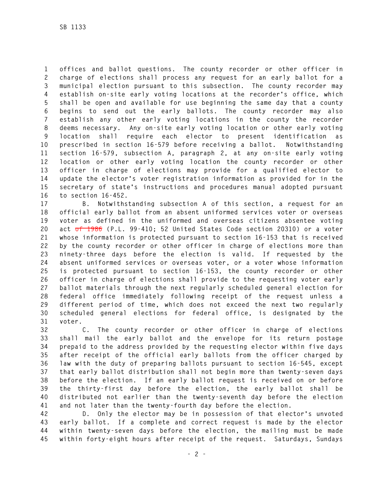**1 offices and ballot questions. The county recorder or other officer in 2 charge of elections shall process any request for an early ballot for a 3 municipal election pursuant to this subsection. The county recorder may 4 establish on-site early voting locations at the recorder's office, which 5 shall be open and available for use beginning the same day that a county 6 begins to send out the early ballots. The county recorder may also 7 establish any other early voting locations in the county the recorder 8 deems necessary. Any on-site early voting location or other early voting 9 location shall require each elector to present identification as 10 prescribed in section 16-579 before receiving a ballot. Notwithstanding 11 section 16-579, subsection A, paragraph 2, at any on-site early voting 12 location or other early voting location the county recorder or other 13 officer in charge of elections may provide for a qualified elector to 14 update the elector's voter registration information as provided for in the 15 secretary of state's instructions and procedures manual adopted pursuant 16 to section 16-452.** 

**17 B. Notwithstanding subsection A of this section, a request for an 18 official early ballot from an absent uniformed services voter or overseas 19 voter as defined in the uniformed and overseas citizens absentee voting 20 act of 1986 (P.L. 99-410; 52 United States Code section 20310) or a voter 21 whose information is protected pursuant to section 16-153 that is received 22 by the county recorder or other officer in charge of elections more than 23 ninety-three days before the election is valid. If requested by the 24 absent uniformed services or overseas voter, or a voter whose information 25 is protected pursuant to section 16-153, the county recorder or other 26 officer in charge of elections shall provide to the requesting voter early 27 ballot materials through the next regularly scheduled general election for 28 federal office immediately following receipt of the request unless a 29 different period of time, which does not exceed the next two regularly 30 scheduled general elections for federal office, is designated by the 31 voter.** 

**32 C. The county recorder or other officer in charge of elections 33 shall mail the early ballot and the envelope for its return postage 34 prepaid to the address provided by the requesting elector within five days 35 after receipt of the official early ballots from the officer charged by 36 law with the duty of preparing ballots pursuant to section 16-545, except 37 that early ballot distribution shall not begin more than twenty-seven days 38 before the election. If an early ballot request is received on or before 39 the thirty-first day before the election, the early ballot shall be 40 distributed not earlier than the twenty-seventh day before the election 41 and not later than the twenty-fourth day before the election.** 

**42 D. Only the elector may be in possession of that elector's unvoted 43 early ballot. If a complete and correct request is made by the elector 44 within twenty-seven days before the election, the mailing must be made 45 within forty-eight hours after receipt of the request. Saturdays, Sundays**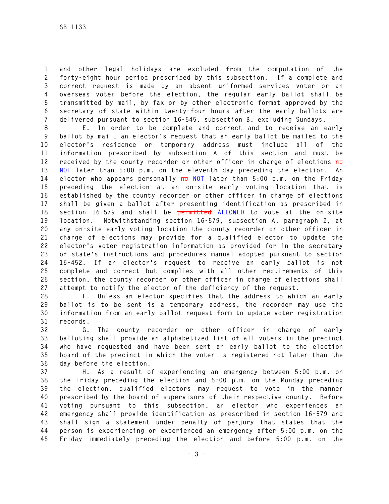**1 and other legal holidays are excluded from the computation of the 2 forty-eight hour period prescribed by this subsection. If a complete and 3 correct request is made by an absent uniformed services voter or an 4 overseas voter before the election, the regular early ballot shall be 5 transmitted by mail, by fax or by other electronic format approved by the 6 secretary of state within twenty-four hours after the early ballots are 7 delivered pursuant to section 16-545, subsection B, excluding Sundays.** 

**8 E. In order to be complete and correct and to receive an early 9 ballot by mail, an elector's request that an early ballot be mailed to the 10 elector's residence or temporary address must include all of the 11 information prescribed by subsection A of this section and must be 12 received by the county recorder or other officer in charge of elections no 13 NOT later than 5:00 p.m. on the eleventh day preceding the election. An 14 elector who appears personally no NOT later than 5:00 p.m. on the Friday 15 preceding the election at an on-site early voting location that is 16 established by the county recorder or other officer in charge of elections 17 shall be given a ballot after presenting identification as prescribed in 18 section 16-579 and shall be permitted ALLOWED to vote at the on-site 19 location. Notwithstanding section 16-579, subsection A, paragraph 2, at 20 any on-site early voting location the county recorder or other officer in 21 charge of elections may provide for a qualified elector to update the 22 elector's voter registration information as provided for in the secretary 23 of state's instructions and procedures manual adopted pursuant to section 24 16-452. If an elector's request to receive an early ballot is not 25 complete and correct but complies with all other requirements of this 26 section, the county recorder or other officer in charge of elections shall 27 attempt to notify the elector of the deficiency of the request.** 

**28 F. Unless an elector specifies that the address to which an early 29 ballot is to be sent is a temporary address, the recorder may use the 30 information from an early ballot request form to update voter registration 31 records.** 

**32 G. The county recorder or other officer in charge of early 33 balloting shall provide an alphabetized list of all voters in the precinct 34 who have requested and have been sent an early ballot to the election 35 board of the precinct in which the voter is registered not later than the 36 day before the election.** 

**37 H. As a result of experiencing an emergency between 5:00 p.m. on 38 the Friday preceding the election and 5:00 p.m. on the Monday preceding 39 the election, qualified electors may request to vote in the manner 40 prescribed by the board of supervisors of their respective county. Before 41 voting pursuant to this subsection, an elector who experiences an 42 emergency shall provide identification as prescribed in section 16-579 and 43 shall sign a statement under penalty of perjury that states that the 44 person is experiencing or experienced an emergency after 5:00 p.m. on the 45 Friday immediately preceding the election and before 5:00 p.m. on the**